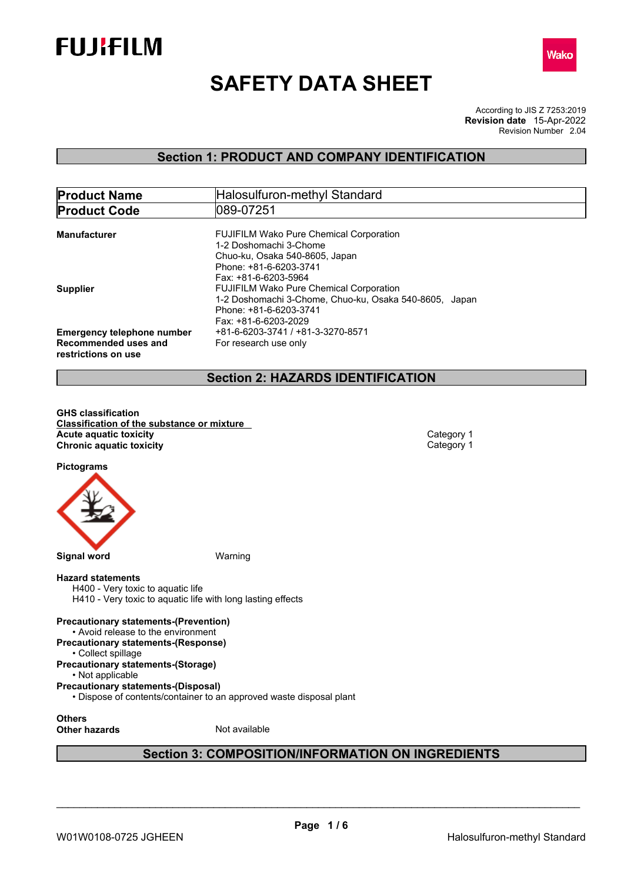



# **SAFETY DATA SHEET**

According to JIS Z 7253:2019 Revision Number 2.04 **Revision date** 15-Apr-2022

# **Section 1: PRODUCT AND COMPANY IDENTIFICATION**

| <b>Product Name</b>                                                              | Halosulfuron-methyl Standard                                                     |
|----------------------------------------------------------------------------------|----------------------------------------------------------------------------------|
| <b>Product Code</b>                                                              | 089-07251                                                                        |
| <b>Manufacturer</b>                                                              | <b>FUJIFILM Wako Pure Chemical Corporation</b><br>1-2 Doshomachi 3-Chome         |
|                                                                                  | Chuo-ku, Osaka 540-8605, Japan<br>Phone: +81-6-6203-3741                         |
| <b>Supplier</b>                                                                  | Fax: +81-6-6203-5964<br><b>FUJIFILM Wako Pure Chemical Corporation</b>           |
|                                                                                  | 1-2 Doshomachi 3-Chome, Chuo-ku, Osaka 540-8605, Japan<br>Phone: +81-6-6203-3741 |
|                                                                                  | Fax: +81-6-6203-2029                                                             |
| <b>Emergency telephone number</b><br>Recommended uses and<br>restrictions on use | +81-6-6203-3741 / +81-3-3270-8571<br>For research use only                       |
|                                                                                  |                                                                                  |

### **Section 2: HAZARDS IDENTIFICATION**

**GHS classification Classification of the substance or mixture Acute** aquatic toxicity<br> **Category 1**<br> **Chronic aquatic toxicity**<br>
Category 1 **Chronic aquatic toxicity** 

**Pictograms**



### **Hazard statements**

H400 - Very toxic to aquatic life H410 - Very toxic to aquatic life with long lasting effects

### **Precautionary statements-(Prevention)**

- Avoid release to the environment
- **Precautionary statements-(Response)**
- Collect spillage

#### **Precautionary statements-(Storage)** • Not applicable

- **Precautionary statements-(Disposal)**
	- Dispose of contents/container to an approved waste disposal plant

**Others**

**Other hazards** Not available

# **Section 3: COMPOSITION/INFORMATION ON INGREDIENTS**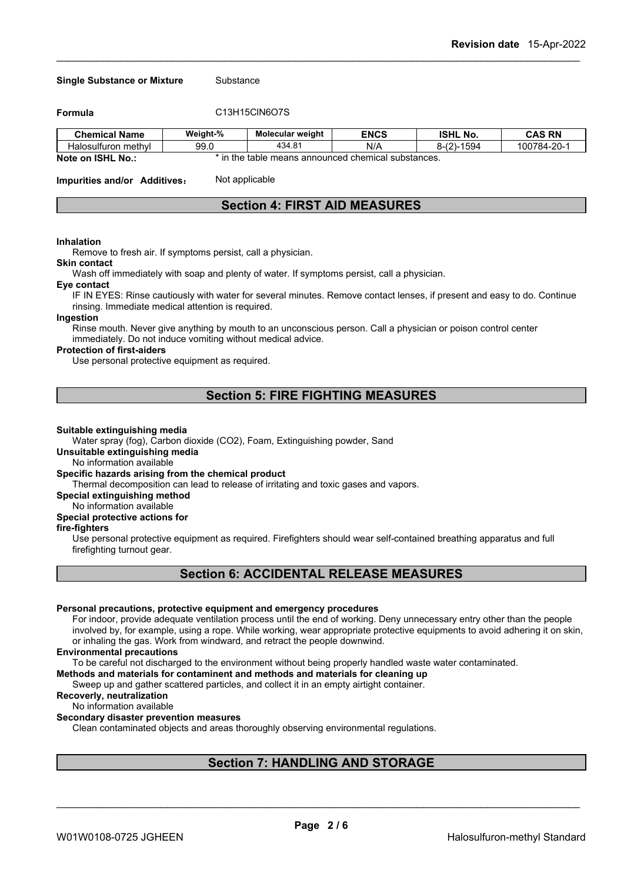#### **Single Substance or Mixture** Substance

**Formula** C13H15ClN6O7S

| <b>Chemical Name</b>                                            | Weight-% | <b>Molecular weight</b> | <b>ENCS</b>                                                                   | <b>ISHL No.</b>                       | <b>CAS RN</b> |
|-----------------------------------------------------------------|----------|-------------------------|-------------------------------------------------------------------------------|---------------------------------------|---------------|
| methyl<br>Halosulturon                                          | 99.0     | 434.81                  | N/A                                                                           | $1 - 1$<br>n 10°<br>1594<br>י-מ<br>ັບ | 100784-20-1   |
| $\mathbf{M}$ . The set of $\mathbf{M}$ is a set of $\mathbf{M}$ |          |                         | المتماع مستلم والمسامع والمستقام والمستورة والمستعدد والمستني والمالح المسالف |                                       |               |

**Note on ISHL No.:** \* in the table means announced chemical substances.

**Impurities and/or Additives:** Not applicable

# **Section 4: FIRST AID MEASURES**

#### **Inhalation**

Remove to fresh air. If symptoms persist, call a physician.

#### **Skin contact**

Wash off immediately with soap and plenty of water. If symptoms persist, call a physician.

#### **Eye contact**

IF IN EYES: Rinse cautiously with water for several minutes. Remove contact lenses, if present and easy to do. Continue rinsing. Immediate medical attention is required.

### **Ingestion**

Rinse mouth. Never give anything by mouth to an unconscious person. Call a physician or poison control center immediately. Do not induce vomiting without medical advice.

#### **Protection of first-aiders**

Use personal protective equipment as required.

### **Section 5: FIRE FIGHTING MEASURES**

#### **Suitable extinguishing media**

Water spray (fog), Carbon dioxide (CO2), Foam, Extinguishing powder, Sand

### **Unsuitable extinguishing media**

No information available

### **Specific hazards arising from the chemical product**

Thermal decomposition can lead to release of irritating and toxic gases and vapors.

### **Special extinguishing method**

No information available

### **Special protective actions for**

#### **fire-fighters**

Use personal protective equipment as required.Firefighters should wear self-contained breathing apparatus and full firefighting turnout gear.

# **Section 6: ACCIDENTAL RELEASE MEASURES**

#### **Personal precautions, protective equipment and emergency procedures**

For indoor, provide adequate ventilation process until the end of working. Deny unnecessary entry other than the people involved by, for example, using a rope. While working, wear appropriate protective equipments to avoid adhering it on skin, or inhaling the gas. Work from windward, and retract the people downwind.

#### **Environmental precautions**

To be careful not discharged to the environment without being properly handled waste water contaminated.

### **Methods and materials for contaminent and methods and materials for cleaning up**

Sweep up and gather scattered particles, and collect it in an empty airtight container.

### **Recoverly, neutralization**

No information available

### **Secondary disaster prevention measures**

Clean contaminated objects and areas thoroughly observing environmental regulations.

# **Section 7: HANDLING AND STORAGE**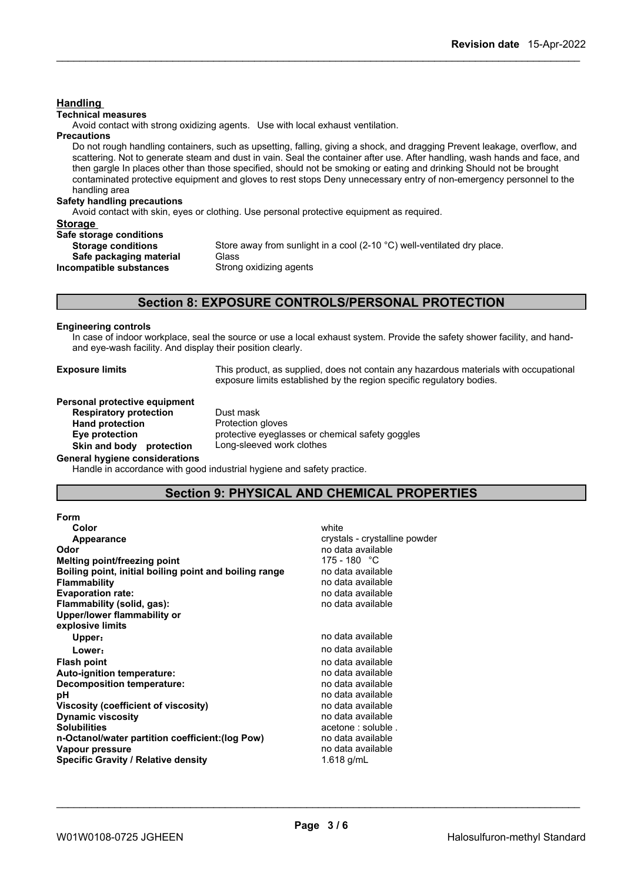| <b>Handling</b>                    |                                                                                                                                                                                                                                                                                                                                                                                                                                                                                                        |
|------------------------------------|--------------------------------------------------------------------------------------------------------------------------------------------------------------------------------------------------------------------------------------------------------------------------------------------------------------------------------------------------------------------------------------------------------------------------------------------------------------------------------------------------------|
| <b>Technical measures</b>          |                                                                                                                                                                                                                                                                                                                                                                                                                                                                                                        |
|                                    | Avoid contact with strong oxidizing agents. Use with local exhaust ventilation.                                                                                                                                                                                                                                                                                                                                                                                                                        |
| <b>Precautions</b>                 |                                                                                                                                                                                                                                                                                                                                                                                                                                                                                                        |
| handling area                      | Do not rough handling containers, such as upsetting, falling, giving a shock, and dragging Prevent leakage, overflow, and<br>scattering. Not to generate steam and dust in vain. Seal the container after use. After handling, wash hands and face, and<br>then gargle In places other than those specified, should not be smoking or eating and drinking Should not be brought<br>contaminated protective equipment and gloves to rest stops Deny unnecessary entry of non-emergency personnel to the |
| <b>Safety handling precautions</b> | Avoid contact with skin, eyes or clothing. Use personal protective equipment as required.                                                                                                                                                                                                                                                                                                                                                                                                              |
| <b>Storage</b>                     |                                                                                                                                                                                                                                                                                                                                                                                                                                                                                                        |
| Safe storage conditions            |                                                                                                                                                                                                                                                                                                                                                                                                                                                                                                        |
| <b>Storage conditions</b>          | Store away from sunlight in a cool $(2\t{-}10\degree C)$ well-ventilated dry place.                                                                                                                                                                                                                                                                                                                                                                                                                    |
| Safe packaging material            | Glass                                                                                                                                                                                                                                                                                                                                                                                                                                                                                                  |
| Incompatible substances            | Strong oxidizing agents                                                                                                                                                                                                                                                                                                                                                                                                                                                                                |
|                                    | <b>Section 8: EXPOSURE CONTROLS/PERSONAL PROTECTION</b>                                                                                                                                                                                                                                                                                                                                                                                                                                                |
|                                    |                                                                                                                                                                                                                                                                                                                                                                                                                                                                                                        |
|                                    |                                                                                                                                                                                                                                                                                                                                                                                                                                                                                                        |

### **Engineering controls**

In case of indoor workplace, seal the source or use a local exhaust system. Provide the safety shower facility, and handand eye-wash facility. And display their position clearly.

**Exposure limits** This product, as supplied, does not contain any hazardous materials with occupational exposure limits established by the region specific regulatory bodies.

# **Personal protective equipment**<br>**Respiratory protection** Dust mask **Respiratory protection Hand protection** Protection gloves **Skin** and body protection

**Eye protection** protective eyeglasses or chemical safety goggles<br> **Skin and body protection** Long-sleeved work clothes

**General hygiene considerations**

Handle in accordance with good industrial hygiene and safety practice.

# **Section 9: PHYSICAL AND CHEMICAL PROPERTIES**

| <b>Form</b>                                            |                               |
|--------------------------------------------------------|-------------------------------|
| Color                                                  | white                         |
| Appearance                                             | crystals - crystalline powder |
| Odor                                                   | no data available             |
| Melting point/freezing point                           | 175 - 180 °C                  |
| Boiling point, initial boiling point and boiling range | no data available             |
| <b>Flammability</b>                                    | no data available             |
| <b>Evaporation rate:</b>                               | no data available             |
| Flammability (solid, gas):                             | no data available             |
| Upper/lower flammability or                            |                               |
| explosive limits                                       |                               |
| Upper:                                                 | no data available             |
| Lower:                                                 | no data available             |
| <b>Flash point</b>                                     | no data available             |
| Auto-ignition temperature:                             | no data available             |
| Decomposition temperature:                             | no data available             |
| рH                                                     | no data available             |
| Viscosity (coefficient of viscosity)                   | no data available             |
| <b>Dynamic viscosity</b>                               | no data available             |
| <b>Solubilities</b>                                    | acetone : soluble.            |
| n-Octanol/water partition coefficient: (log Pow)       | no data available             |
| Vapour pressure                                        | no data available             |
| <b>Specific Gravity / Relative density</b>             | 1.618 g/mL                    |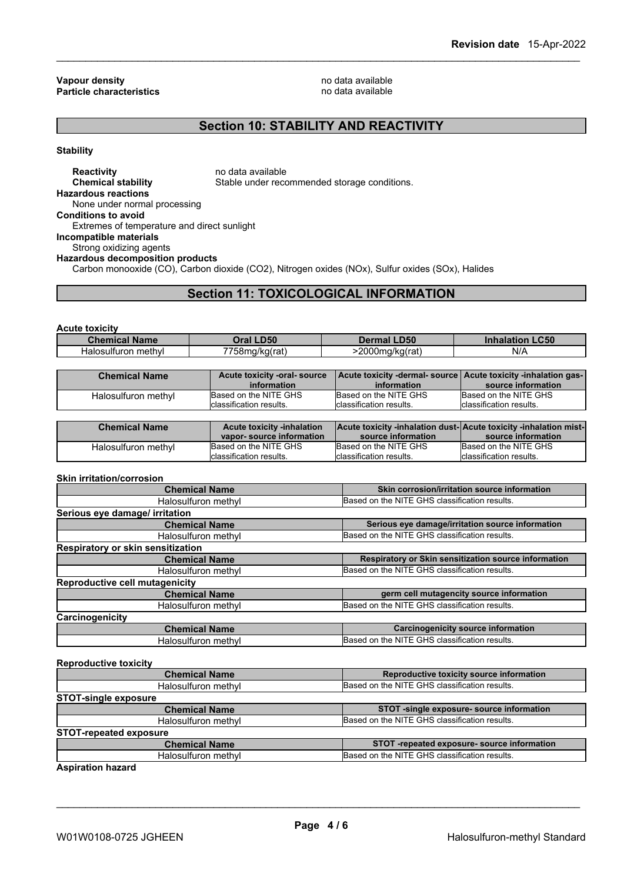**Vapour density**<br> **Particle characteristics**<br> **Particle characteristics Particle characteristics** 

# **Section 10: STABILITY AND REACTIVITY**

**Stability**

**Reactivity no data available Chemical stability** Stable under recommended storage conditions. **Hazardous reactions** None under normal processing **Conditions to avoid** Extremes of temperature and direct sunlight **Incompatible materials** Strong oxidizing agents **Hazardous decomposition products** Carbon monooxide (CO), Carbon dioxide (CO2), Nitrogen oxides (NOx), Sulfur oxides (SOx), Halides

# **Section 11: TOXICOLOGICAL INFORMATION**

**Acute toxicity**

| Chan<br><b>Name</b>          | DEO<br><b>THA</b><br>yə u | $\overline{1}$<br>שפּ∪. | CFA<br>.uou |
|------------------------------|---------------------------|-------------------------|-------------|
| methyl<br>ulturon<br>⊶alos∙∶ | $- - - -$<br>5.8ma/ka/rat | nnnn.<br>')ma/ka(rat,   | N/f         |

| <b>Chemical Name</b> | Acute toxicity -oral- source | Acute toxicity -dermal-source Acute toxicity -inhalation gas- |                          |
|----------------------|------------------------------|---------------------------------------------------------------|--------------------------|
|                      | information                  | information                                                   | source information       |
| Halosulfuron methyl  | Based on the NITE GHS        | Based on the NITE GHS                                         | Based on the NITE GHS    |
|                      | classification results.      | Iclassification results.                                      | Iclassification results. |

| <b>Chemical Name</b> | <b>Acute toxicity -inhalation</b> | Acute toxicity -inhalation dust- Acute toxicity -inhalation mist- |                          |
|----------------------|-----------------------------------|-------------------------------------------------------------------|--------------------------|
|                      | vapor-source information          | source information                                                | source information       |
| Halosulfuron methyl  | Based on the NITE GHS             | Based on the NITE GHS                                             | Based on the NITE GHS    |
|                      | Iclassification results.          | Iclassification results.                                          | Iclassification results. |

**Skin irritation/corrosion**

| <b>Chemical Name</b>                  | Skin corrosion/irritation source information         |
|---------------------------------------|------------------------------------------------------|
| Halosulfuron methyl                   | Based on the NITE GHS classification results.        |
| Serious eye damage/ irritation        |                                                      |
| <b>Chemical Name</b>                  | Serious eye damage/irritation source information     |
| Halosulfuron methyl                   | Based on the NITE GHS classification results.        |
| Respiratory or skin sensitization     |                                                      |
| <b>Chemical Name</b>                  | Respiratory or Skin sensitization source information |
| Halosulfuron methyl                   | Based on the NITE GHS classification results.        |
| <b>Reproductive cell mutagenicity</b> |                                                      |
| <b>Chemical Name</b>                  | germ cell mutagencity source information             |
| Halosulfuron methyl                   | Based on the NITE GHS classification results.        |
| Carcinogenicity                       |                                                      |
| <b>Chemical Name</b>                  | <b>Carcinogenicity source information</b>            |
| Halosulfuron methyl                   | Based on the NITE GHS classification results.        |

**Reproductive toxicity**

| <b>Chemical Name</b>                                              | Reproductive toxicity source information      |
|-------------------------------------------------------------------|-----------------------------------------------|
| Halosulfuron methyl                                               | Based on the NITE GHS classification results. |
| <b>STOT-single exposure</b>                                       |                                               |
| <b>Chemical Name</b>                                              | STOT -single exposure- source information     |
| Halosulfuron methyl                                               | Based on the NITE GHS classification results. |
| <b>STOT-repeated exposure</b>                                     |                                               |
| STOT-repeated exposure-source information<br><b>Chemical Name</b> |                                               |
| Halosulfuron methyl                                               | Based on the NITE GHS classification results. |
|                                                                   |                                               |

**Aspiration hazard**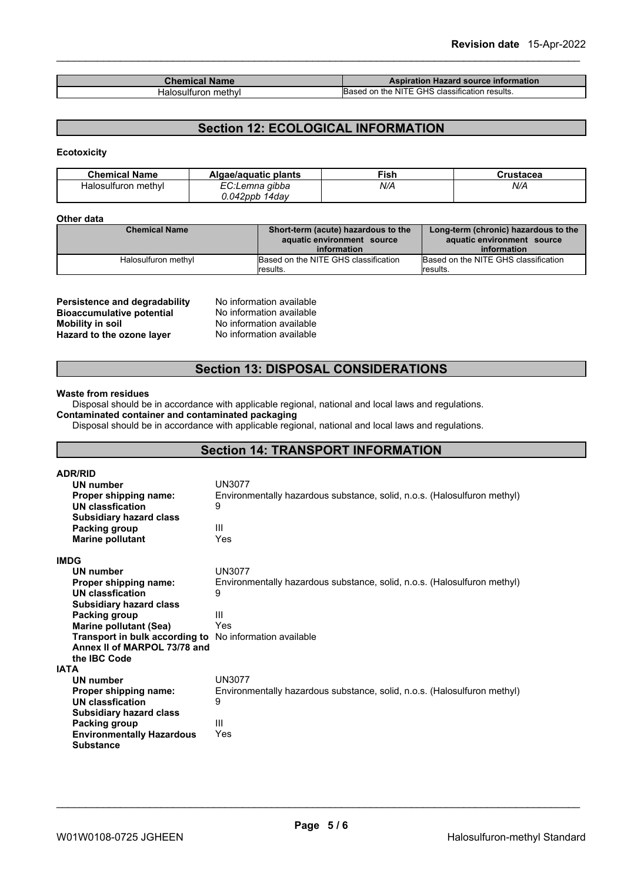| <b>The Committee of the Committee</b><br><b>Name</b> | Aspiration Hazard source information                              |
|------------------------------------------------------|-------------------------------------------------------------------|
| nethvl<br>alos: "<br>،ır<br>⊔l†i                     | GHS<br>$\sim$<br>on the<br>. NITE<br>า results.<br>classification |

# **Section 12: ECOLOGICAL INFORMATION**

### **Ecotoxicity**

| <b>Chemical Name</b> | Algae/aguatic plants | ™ish | Crustacea |
|----------------------|----------------------|------|-----------|
| Halosulfuron methyl  | EC:Lemna gibba       | N/A  | N/A       |
|                      | $0.042$ ppb 14day    |      |           |

### **Other data**

| <b>Chemical Name</b> | Short-term (acute) hazardous to the<br>aquatic environment source | Long-term (chronic) hazardous to the<br>aquatic environment source |
|----------------------|-------------------------------------------------------------------|--------------------------------------------------------------------|
|                      | information                                                       | information                                                        |
| Halosulfuron methyl  | Based on the NITE GHS classification                              | Based on the NITE GHS classification                               |
|                      | lresults.                                                         | lresults.                                                          |

| Persistence and degradability    | No information available |
|----------------------------------|--------------------------|
| <b>Bioaccumulative potential</b> | No information available |
| Mobility in soil                 | No information available |
| Hazard to the ozone layer        | No information available |

### **Section 13: DISPOSAL CONSIDERATIONS**

#### **Waste from residues**

Disposal should be in accordance with applicable regional, national and local laws and regulations. **Contaminated container and contaminated packaging**

Disposal should be in accordance with applicable regional, national and local laws and regulations.

# **Section 14: TRANSPORT INFORMATION**

| <b>ADR/RID</b>                                                 |                                                                          |
|----------------------------------------------------------------|--------------------------------------------------------------------------|
| UN number                                                      | <b>UN3077</b>                                                            |
| Proper shipping name:                                          | Environmentally hazardous substance, solid, n.o.s. (Halosulfuron methyl) |
| UN classfication                                               | 9                                                                        |
| <b>Subsidiary hazard class</b>                                 |                                                                          |
| Packing group                                                  | Ш                                                                        |
| <b>Marine pollutant</b>                                        | Yes                                                                      |
| <b>IMDG</b>                                                    |                                                                          |
| UN number                                                      | <b>UN3077</b>                                                            |
| Proper shipping name:                                          | Environmentally hazardous substance, solid, n.o.s. (Halosulfuron methyl) |
| UN classfication                                               | 9                                                                        |
| <b>Subsidiary hazard class</b>                                 |                                                                          |
| Packing group                                                  | Ш                                                                        |
| <b>Marine pollutant (Sea)</b>                                  | Yes                                                                      |
| <b>Transport in bulk according to</b> No information available |                                                                          |
| Annex II of MARPOL 73/78 and                                   |                                                                          |
| the <b>IBC</b> Code                                            |                                                                          |
| <b>IATA</b>                                                    |                                                                          |
| UN number                                                      | UN3077                                                                   |
| Proper shipping name:                                          | Environmentally hazardous substance, solid, n.o.s. (Halosulfuron methyl) |
| <b>UN classfication</b>                                        | 9                                                                        |
| <b>Subsidiary hazard class</b>                                 |                                                                          |
| Packing group                                                  | Ш                                                                        |
| <b>Environmentally Hazardous</b>                               | Yes                                                                      |
| <b>Substance</b>                                               |                                                                          |